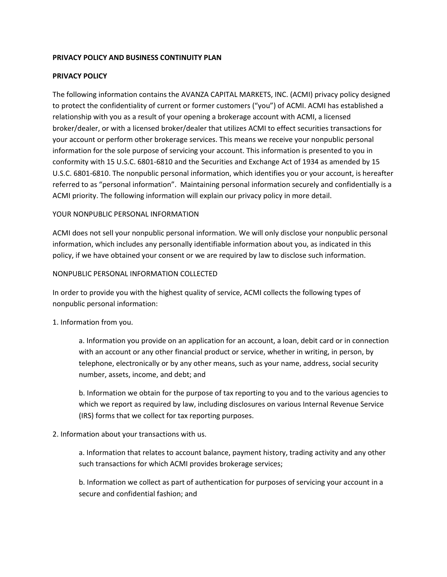### **PRIVACY POLICY AND BUSINESS CONTINUITY PLAN**

### **PRIVACY POLICY**

The following information contains the AVANZA CAPITAL MARKETS, INC. (ACMI) privacy policy designed to protect the confidentiality of current or former customers ("you") of ACMI. ACMI has established a relationship with you as a result of your opening a brokerage account with ACMI, a licensed broker/dealer, or with a licensed broker/dealer that utilizes ACMI to effect securities transactions for your account or perform other brokerage services. This means we receive your nonpublic personal information for the sole purpose of servicing your account. This information is presented to you in conformity with 15 U.S.C. 6801-6810 and the Securities and Exchange Act of 1934 as amended by 15 U.S.C. 6801-6810. The nonpublic personal information, which identifies you or your account, is hereafter referred to as "personal information". Maintaining personal information securely and confidentially is a ACMI priority. The following information will explain our privacy policy in more detail.

## YOUR NONPUBLIC PERSONAL INFORMATION

ACMI does not sell your nonpublic personal information. We will only disclose your nonpublic personal information, which includes any personally identifiable information about you, as indicated in this policy, if we have obtained your consent or we are required by law to disclose such information.

#### NONPUBLIC PERSONAL INFORMATION COLLECTED

In order to provide you with the highest quality of service, ACMI collects the following types of nonpublic personal information:

1. Information from you.

a. Information you provide on an application for an account, a loan, debit card or in connection with an account or any other financial product or service, whether in writing, in person, by telephone, electronically or by any other means, such as your name, address, social security number, assets, income, and debt; and

b. Information we obtain for the purpose of tax reporting to you and to the various agencies to which we report as required by law, including disclosures on various Internal Revenue Service (IRS) forms that we collect for tax reporting purposes.

#### 2. Information about your transactions with us.

a. Information that relates to account balance, payment history, trading activity and any other such transactions for which ACMI provides brokerage services;

b. Information we collect as part of authentication for purposes of servicing your account in a secure and confidential fashion; and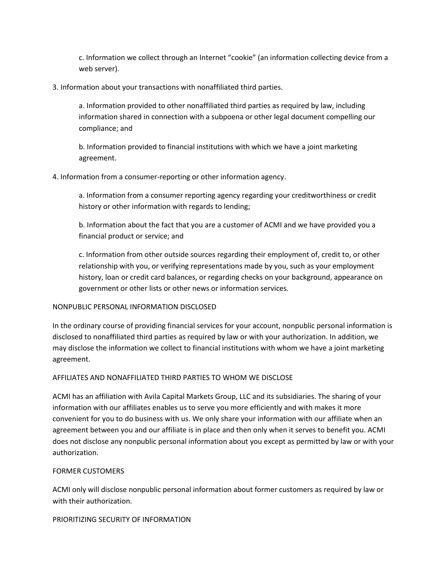c. Information we collect through an Internet "cookie" (an information collecting device from a web server).

3. Information about your transactions with nonaffiliated third parties.

a. Information provided to other nonaffiliated third parties as required by law, including information shared in connection with a subpoena or other legal document compelling our compliance; and

b. Information provided to financial institutions with which we have a joint marketing agreement.

4. Information from a consumer-reporting or other information agency.

a. Information from a consumer reporting agency regarding your creditworthiness or credit history or other information with regards to lending;

b. Information about the fact that you are a customer of ACMI and we have provided you a financial product or service; and

c. Information from other outside sources regarding their employment of, credit to, or other relationship with you, or verifying representations made by you, such as your employment history, loan or credit card balances, or regarding checks on your background, appearance on government or other lists or other news or information services.

# NONPUBLIC PERSONAL INFORMATION DISCLOSED

In the ordinary course of providing financial services for your account, nonpublic personal information is disclosed to nonaffiliated third parties as required by law or with your authorization. In addition, we may disclose the information we collect to financial institutions with whom we have a joint marketing agreement.

#### AFFILIATES AND NONAFFILIATED THIRD PARTIES TO WHOM WE DISCLOSE

ACMI has an affiliation with Avila Capital Markets Group, LLC and its subsidiaries. The sharing of your information with our affiliates enables us to serve you more efficiently and with makes it more convenient for you to do business with us. We only share your information with our affiliate when an agreement between you and our affiliate is in place and then only when it serves to benefit you. ACMI does not disclose any nonpublic personal information about you except as permitted by law or with your authorization.

# FORMER CUSTOMERS

ACMI only will disclose nonpublic personal information about former customers as required by law or with their authorization.

#### PRIORITIZING SECURITY OF INFORMATION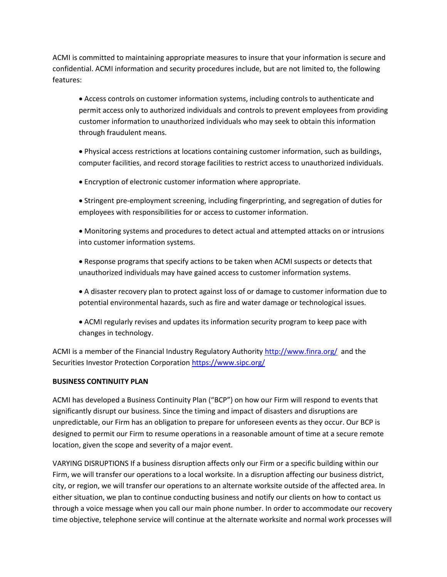ACMI is committed to maintaining appropriate measures to insure that your information is secure and confidential. ACMI information and security procedures include, but are not limited to, the following features:

• Access controls on customer information systems, including controls to authenticate and permit access only to authorized individuals and controls to prevent employees from providing customer information to unauthorized individuals who may seek to obtain this information through fraudulent means.

• Physical access restrictions at locations containing customer information, such as buildings, computer facilities, and record storage facilities to restrict access to unauthorized individuals.

• Encryption of electronic customer information where appropriate.

• Stringent pre-employment screening, including fingerprinting, and segregation of duties for employees with responsibilities for or access to customer information.

• Monitoring systems and procedures to detect actual and attempted attacks on or intrusions into customer information systems.

• Response programs that specify actions to be taken when ACMI suspects or detects that unauthorized individuals may have gained access to customer information systems.

• A disaster recovery plan to protect against loss of or damage to customer information due to potential environmental hazards, such as fire and water damage or technological issues.

• ACMI regularly revises and updates its information security program to keep pace with changes in technology.

ACMI is a member of the Financial Industry Regulatory Authority <http://www.finra.org/> and the Securities Investor Protection Corporation <https://www.sipc.org/>

# **BUSINESS CONTINUITY PLAN**

ACMI has developed a Business Continuity Plan ("BCP") on how our Firm will respond to events that significantly disrupt our business. Since the timing and impact of disasters and disruptions are unpredictable, our Firm has an obligation to prepare for unforeseen events as they occur. Our BCP is designed to permit our Firm to resume operations in a reasonable amount of time at a secure remote location, given the scope and severity of a major event.

VARYING DISRUPTIONS If a business disruption affects only our Firm or a specific building within our Firm, we will transfer our operations to a local worksite. In a disruption affecting our business district, city, or region, we will transfer our operations to an alternate worksite outside of the affected area. In either situation, we plan to continue conducting business and notify our clients on how to contact us through a voice message when you call our main phone number. In order to accommodate our recovery time objective, telephone service will continue at the alternate worksite and normal work processes will